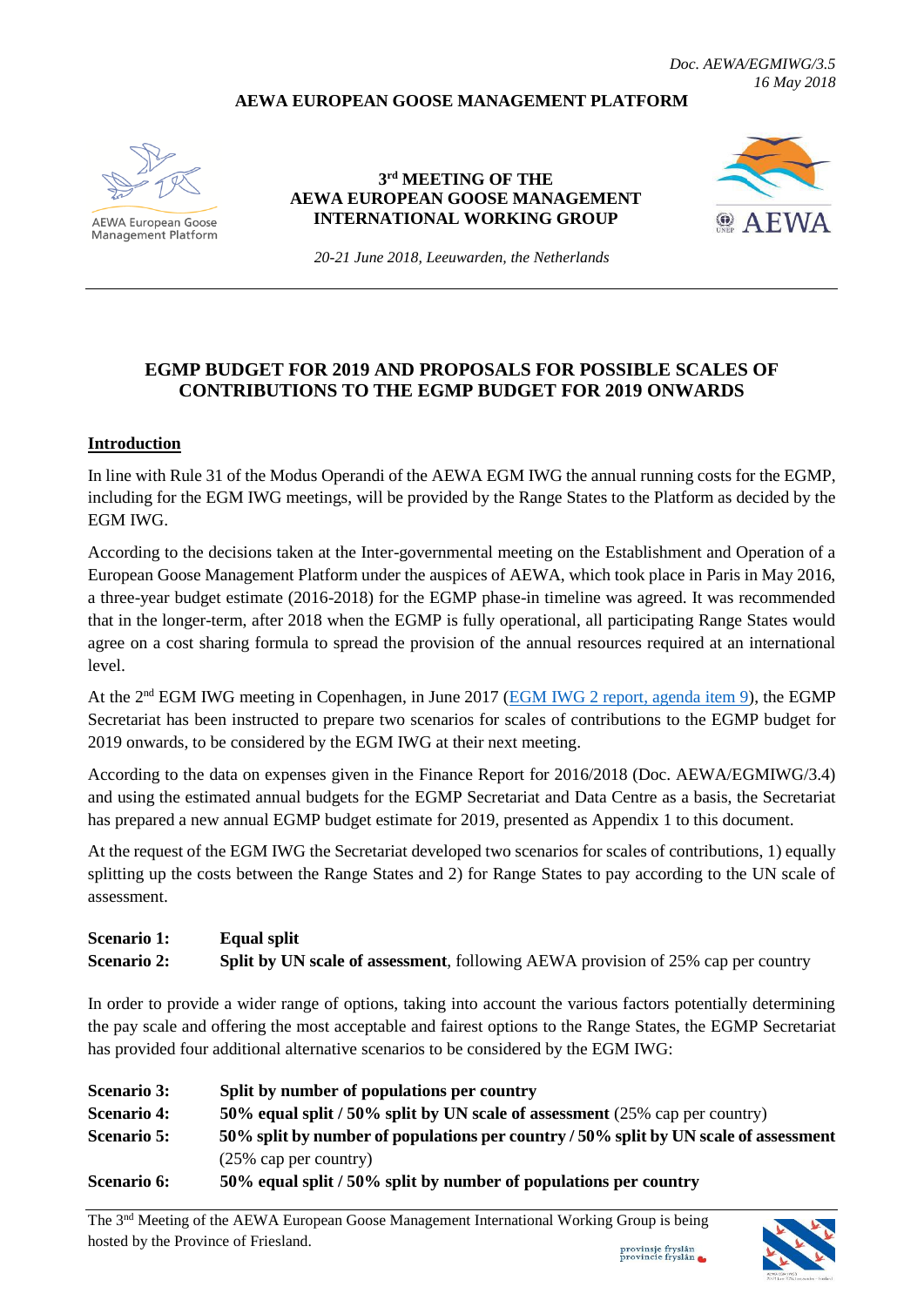#### **AEWA EUROPEAN GOOSE MANAGEMENT PLATFORM**



**AEWA European Goose** Management Platform

**3 rd MEETING OF THE AEWA EUROPEAN GOOSE MANAGEMENT INTERNATIONAL WORKING GROUP**



*20-21 June 2018, Leeuwarden, the Netherlands*

### **EGMP BUDGET FOR 2019 AND PROPOSALS FOR POSSIBLE SCALES OF CONTRIBUTIONS TO THE EGMP BUDGET FOR 2019 ONWARDS**

#### **Introduction**

In line with Rule 31 of the [Modus](http://www.unep-aewa.org/sites/default/files/document/aewa_egmiwg2_inf_4_egmiwg_modus_operandi.pdf) Operandi of the AEWA EGM IWG the annual running costs for the EGMP, including for the EGM IWG meetings, will be provided by the Range States to the Platform as decided by the EGM IWG.

According to the decisions taken at the Inter-governmental meeting on the Establishment and Operation of a European Goose Management Platform under the auspices of AEWA, which took place in Paris in May 2016, a three-year budget estimate (2016-2018) for the EGMP phase-in timeline was agreed. It was recommended that in the longer-term, after 2018 when the EGMP is fully operational, all participating Range States would agree on a cost sharing formula to spread the provision of the annual resources required at an international level.

At the 2<sup>nd</sup> EGM IWG meeting in Copenhagen, in June 2017 [\(EGM IWG 2 report, agenda item 9\)](http://www.unep-aewa.org/sites/default/files/document/aewa_egm_iwg_2_report.pdf), the EGMP Secretariat has been instructed to prepare two scenarios for scales of contributions to the EGMP budget for 2019 onwards, to be considered by the EGM IWG at their next meeting.

According to the data on expenses given in the Finance Report for 2016/2018 (Doc. AEWA/EGMIWG/3.4) and using the estimated annual budgets for the EGMP Secretariat and Data Centre as a basis, the Secretariat has prepared a new annual EGMP budget estimate for 2019, presented as Appendix 1 to this document.

At the request of the EGM IWG the Secretariat developed two scenarios for scales of contributions, 1) equally splitting up the costs between the Range States and 2) for Range States to pay according to the UN scale of assessment.

| <b>Scenario 1:</b> | <b>Equal split</b>                                                                      |
|--------------------|-----------------------------------------------------------------------------------------|
| <b>Scenario 2:</b> | <b>Split by UN scale of assessment, following AEWA provision of 25% cap per country</b> |

In order to provide a wider range of options, taking into account the various factors potentially determining the pay scale and offering the most acceptable and fairest options to the Range States, the EGMP Secretariat has provided four additional alternative scenarios to be considered by the EGM IWG:

| <b>Scenario 3:</b> | Split by number of populations per country                                           |
|--------------------|--------------------------------------------------------------------------------------|
| <b>Scenario 4:</b> | 50% equal split / 50% split by UN scale of assessment (25% cap per country)          |
| <b>Scenario 5:</b> | 50% split by number of populations per country / 50% split by UN scale of assessment |
|                    | $(25\% \text{ cap per country})$                                                     |
| <b>Scenario 6:</b> | 50% equal split / 50% split by number of populations per country                     |

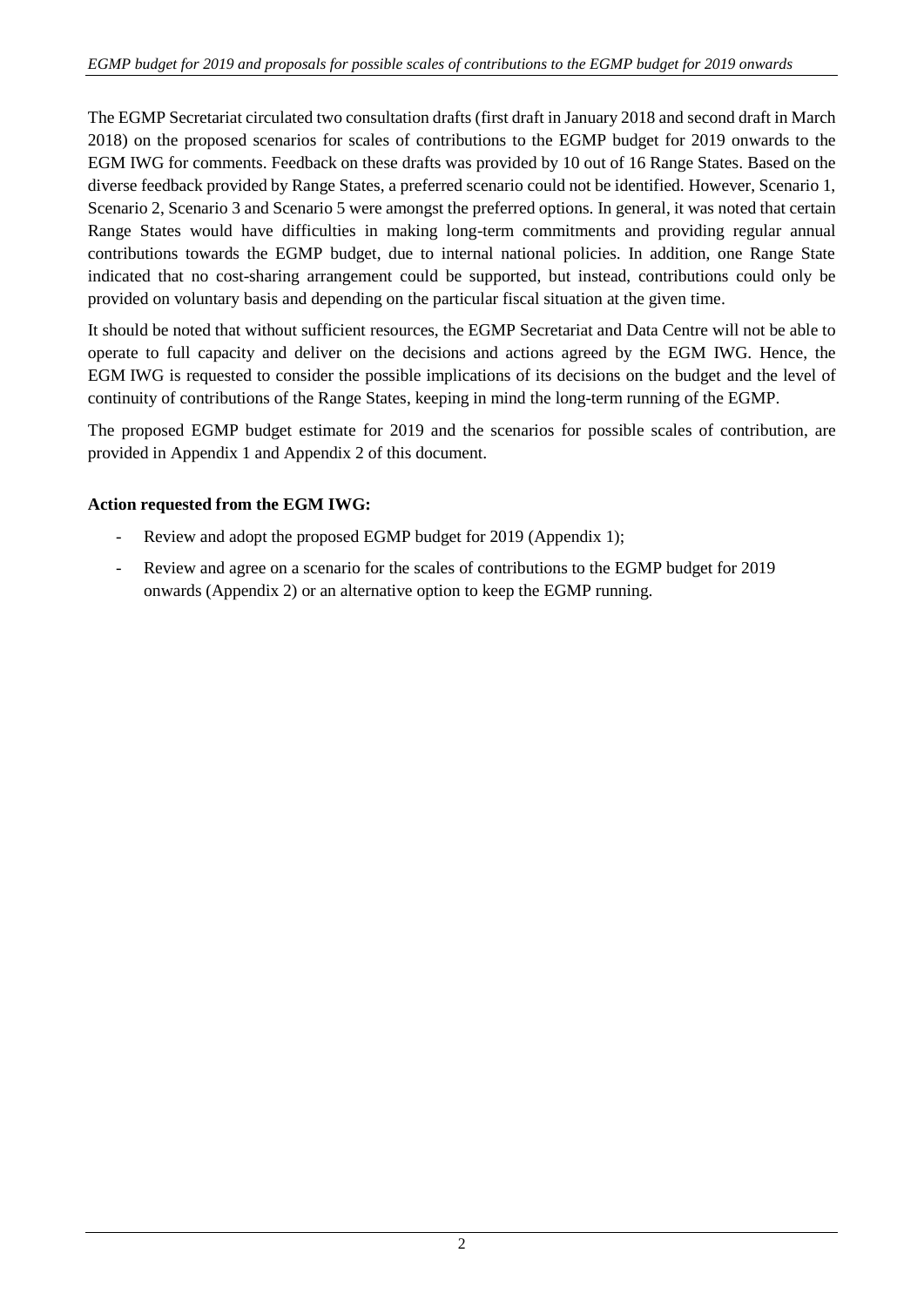The EGMP Secretariat circulated two consultation drafts (first draft in January 2018 and second draft in March 2018) on the proposed scenarios for scales of contributions to the EGMP budget for 2019 onwards to the EGM IWG for comments. Feedback on these drafts was provided by 10 out of 16 Range States. Based on the diverse feedback provided by Range States, a preferred scenario could not be identified. However, Scenario 1, Scenario 2, Scenario 3 and Scenario 5 were amongst the preferred options. In general, it was noted that certain Range States would have difficulties in making long-term commitments and providing regular annual contributions towards the EGMP budget, due to internal national policies. In addition, one Range State indicated that no cost-sharing arrangement could be supported, but instead, contributions could only be provided on voluntary basis and depending on the particular fiscal situation at the given time.

It should be noted that without sufficient resources, the EGMP Secretariat and Data Centre will not be able to operate to full capacity and deliver on the decisions and actions agreed by the EGM IWG. Hence, the EGM IWG is requested to consider the possible implications of its decisions on the budget and the level of continuity of contributions of the Range States, keeping in mind the long-term running of the EGMP.

The proposed EGMP budget estimate for 2019 and the scenarios for possible scales of contribution, are provided in Appendix 1 and Appendix 2 of this document.

## **Action requested from the EGM IWG:**

- Review and adopt the proposed EGMP budget for 2019 (Appendix 1);
- Review and agree on a scenario for the scales of contributions to the EGMP budget for 2019 onwards (Appendix 2) or an alternative option to keep the EGMP running.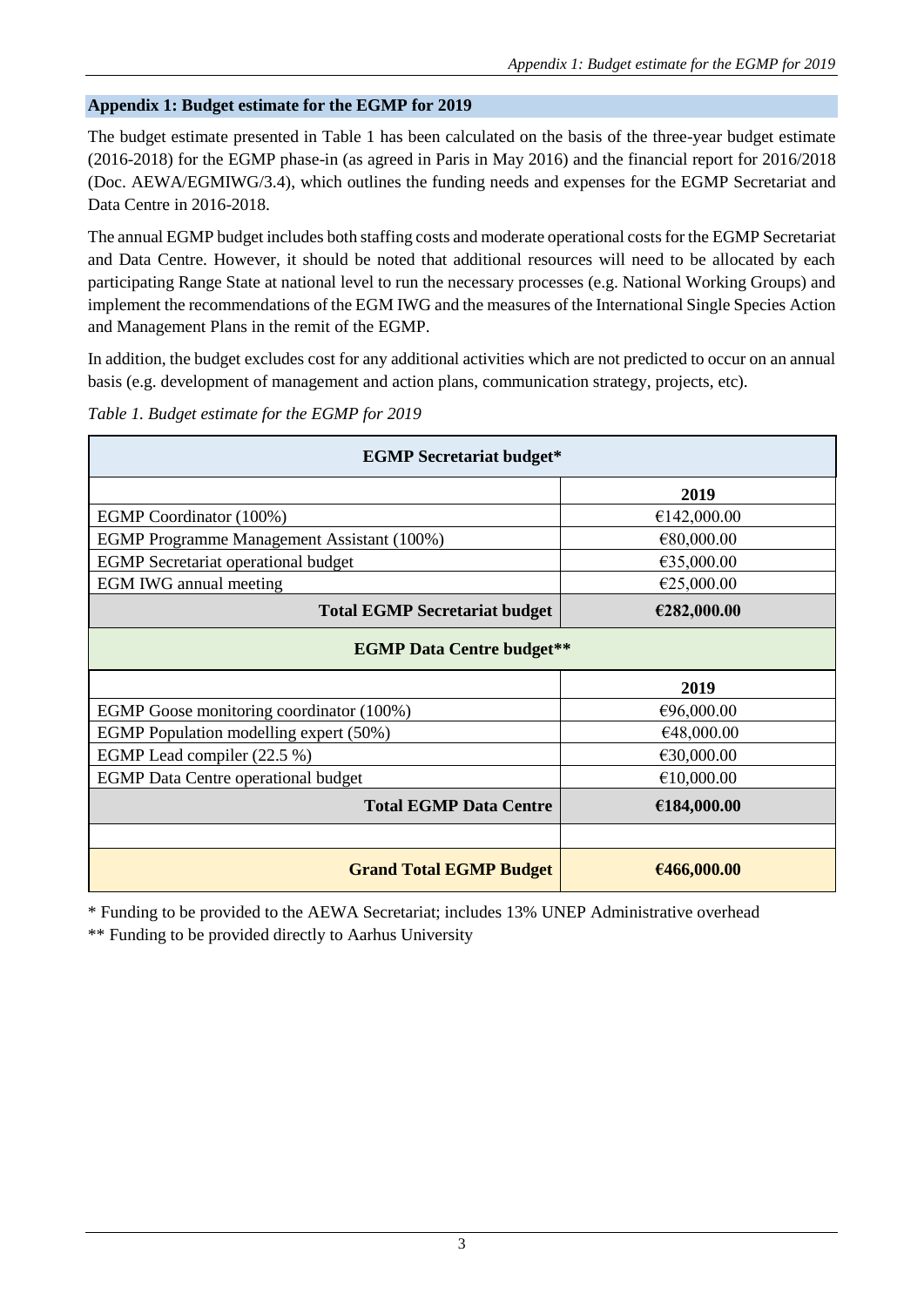### **Appendix 1: Budget estimate for the EGMP for 2019**

The budget estimate presented in Table 1 has been calculated on the basis of the three-year budget estimate (2016-2018) for the EGMP phase-in (as agreed in Paris in May 2016) and the financial report for 2016/2018 (Doc. AEWA/EGMIWG/3.4), which outlines the funding needs and expenses for the EGMP Secretariat and Data Centre in 2016-2018.

The annual EGMP budget includes both staffing costs and moderate operational costs for the EGMP Secretariat and Data Centre. However, it should be noted that additional resources will need to be allocated by each participating Range State at national level to run the necessary processes (e.g. National Working Groups) and implement the recommendations of the EGM IWG and the measures of the International Single Species Action and Management Plans in the remit of the EGMP.

In addition, the budget excludes cost for any additional activities which are not predicted to occur on an annual basis (e.g. development of management and action plans, communication strategy, projects, etc).

| Table 1. Budget estimate for the EGMP for 2019 |  |
|------------------------------------------------|--|
|                                                |  |

| <b>EGMP</b> Secretariat budget*            |             |  |  |  |  |  |  |  |
|--------------------------------------------|-------------|--|--|--|--|--|--|--|
|                                            | 2019        |  |  |  |  |  |  |  |
| EGMP Coordinator (100%)                    | €142,000.00 |  |  |  |  |  |  |  |
| EGMP Programme Management Assistant (100%) | €80,000.00  |  |  |  |  |  |  |  |
| <b>EGMP</b> Secretariat operational budget | €35,000.00  |  |  |  |  |  |  |  |
| <b>EGM IWG</b> annual meeting              | €25,000.00  |  |  |  |  |  |  |  |
| <b>Total EGMP Secretariat budget</b>       | €282,000.00 |  |  |  |  |  |  |  |
| <b>EGMP Data Centre budget**</b>           |             |  |  |  |  |  |  |  |
| 2019                                       |             |  |  |  |  |  |  |  |
|                                            |             |  |  |  |  |  |  |  |
| EGMP Goose monitoring coordinator (100%)   | €96,000.00  |  |  |  |  |  |  |  |
| EGMP Population modelling expert (50%)     | €48,000.00  |  |  |  |  |  |  |  |
| EGMP Lead compiler (22.5 %)                | €30,000.00  |  |  |  |  |  |  |  |
| <b>EGMP</b> Data Centre operational budget | €10,000.00  |  |  |  |  |  |  |  |
| <b>Total EGMP Data Centre</b>              | €184,000.00 |  |  |  |  |  |  |  |
|                                            |             |  |  |  |  |  |  |  |

\* Funding to be provided to the AEWA Secretariat; includes 13% UNEP Administrative overhead

\*\* Funding to be provided directly to Aarhus University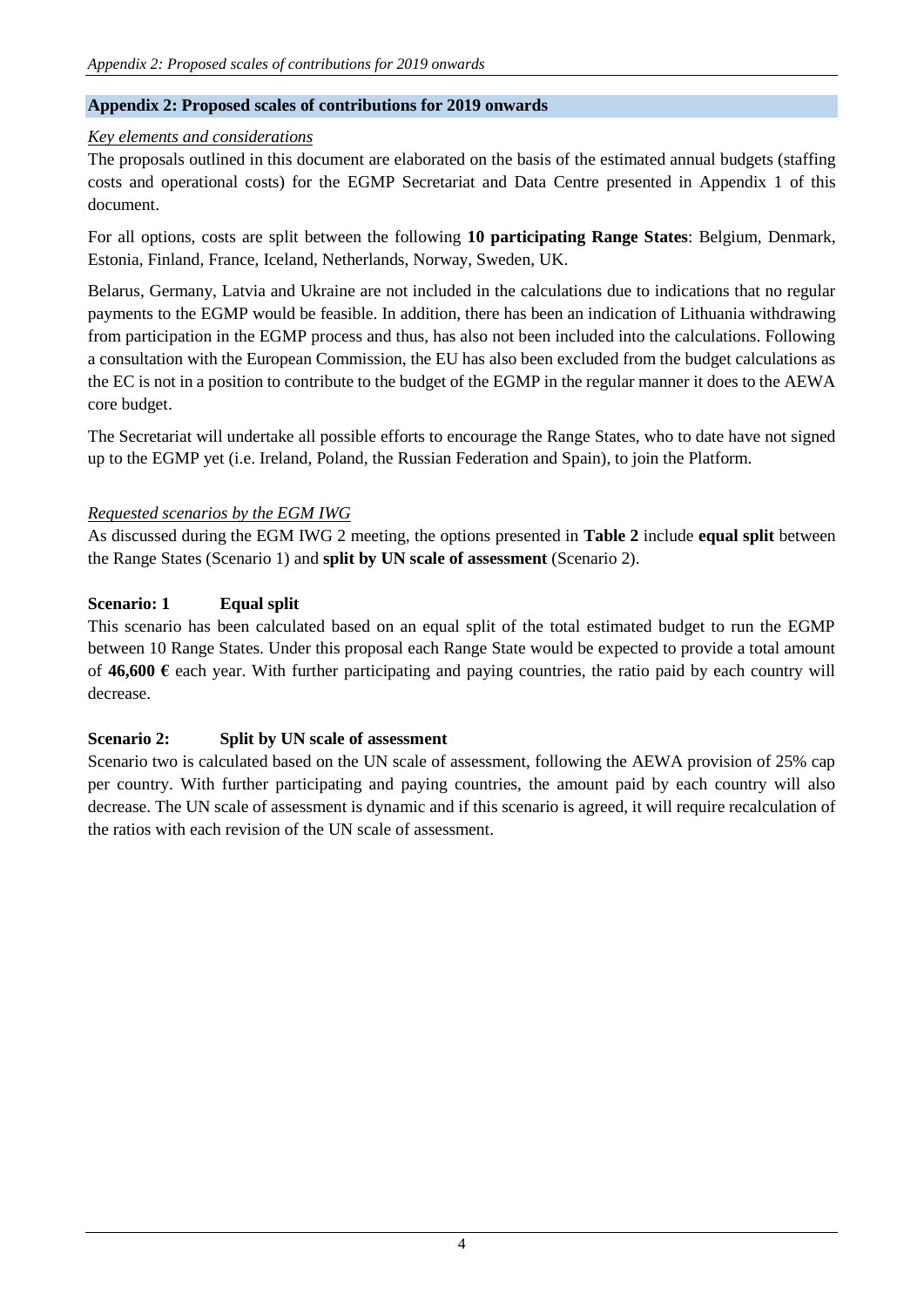## **Appendix 2: Proposed scales of contributions for 2019 onwards**

#### *Key elements and considerations*

The proposals outlined in this document are elaborated on the basis of the estimated annual budgets (staffing costs and operational costs) for the EGMP Secretariat and Data Centre presented in Appendix 1 of this document.

For all options, costs are split between the following **10 participating Range States**: Belgium, Denmark, Estonia, Finland, France, Iceland, Netherlands, Norway, Sweden, UK.

Belarus, Germany, Latvia and Ukraine are not included in the calculations due to indications that no regular payments to the EGMP would be feasible. In addition, there has been an indication of Lithuania withdrawing from participation in the EGMP process and thus, has also not been included into the calculations. Following a consultation with the European Commission, the EU has also been excluded from the budget calculations as the EC is not in a position to contribute to the budget of the EGMP in the regular manner it does to the AEWA core budget.

The Secretariat will undertake all possible efforts to encourage the Range States, who to date have not signed up to the EGMP yet (i.e. Ireland, Poland, the Russian Federation and Spain), to join the Platform.

## *Requested scenarios by the EGM IWG*

As discussed during the EGM IWG 2 meeting, the options presented in **Table 2** include **equal split** between the Range States (Scenario 1) and **split by UN scale of assessment** (Scenario 2).

### **Scenario: 1 Equal split**

This scenario has been calculated based on an equal split of the total estimated budget to run the EGMP between 10 Range States. Under this proposal each Range State would be expected to provide a total amount of  $46,600 \text{ }\epsilon$  each year. With further participating and paying countries, the ratio paid by each country will decrease.

#### **Scenario 2: Split by UN scale of assessment**

Scenario two is calculated based on the UN scale of assessment, following the AEWA provision of 25% cap per country. With further participating and paying countries, the amount paid by each country will also decrease. The UN scale of assessment is dynamic and if this scenario is agreed, it will require recalculation of the ratios with each revision of the UN scale of assessment.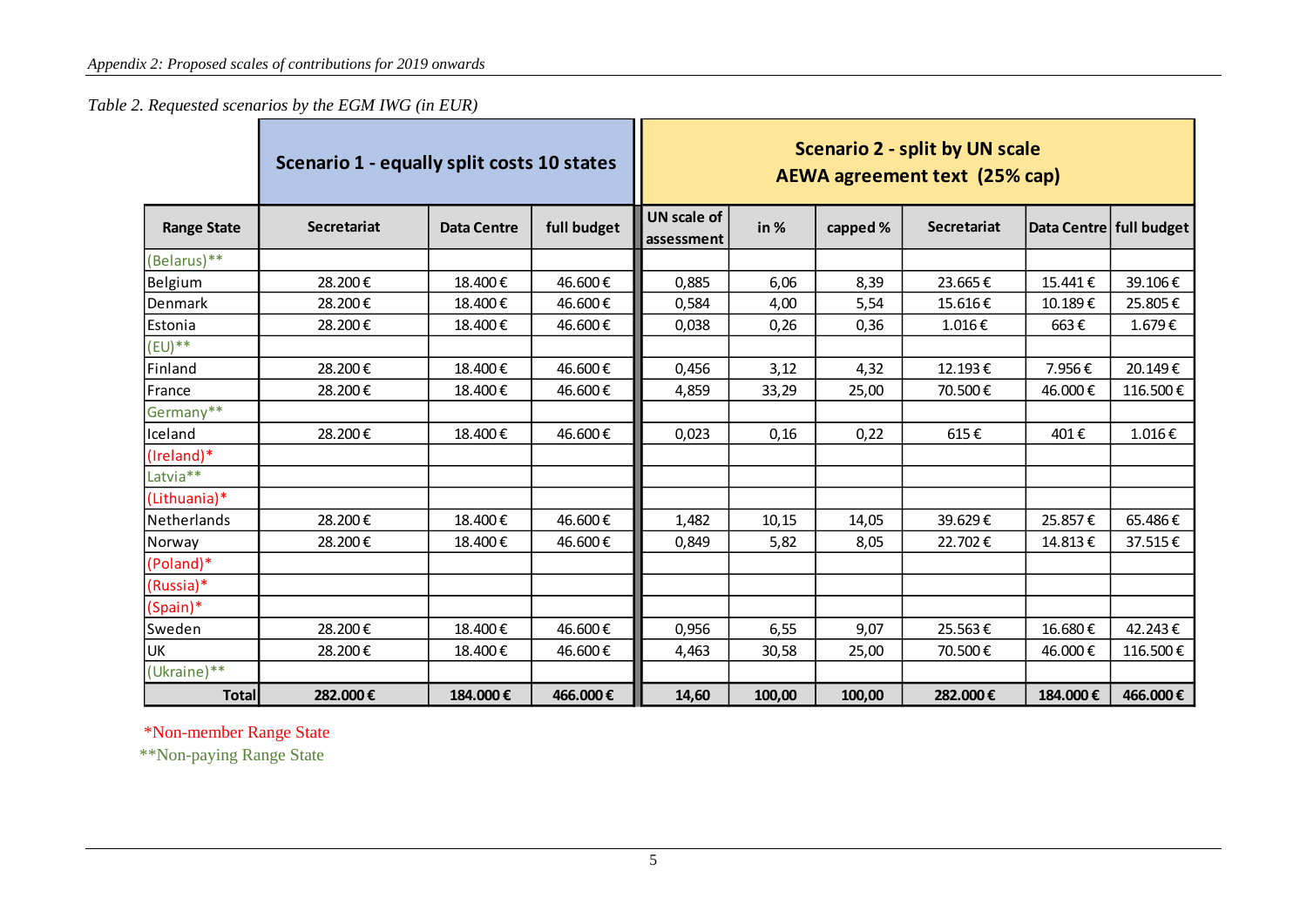*Table 2. Requested scenarios by the EGM IWG (in EUR)*

|                      | Scenario 1 - equally split costs 10 states |                    |             | <b>Scenario 2 - split by UN scale</b><br><b>AEWA agreement text (25% cap)</b> |        |          |                    |                         |          |  |
|----------------------|--------------------------------------------|--------------------|-------------|-------------------------------------------------------------------------------|--------|----------|--------------------|-------------------------|----------|--|
| <b>Range State</b>   | <b>Secretariat</b>                         | <b>Data Centre</b> | full budget | <b>UN scale of</b><br>assessment                                              | in %   | capped % | <b>Secretariat</b> | Data Centre full budget |          |  |
| (Belarus)**          |                                            |                    |             |                                                                               |        |          |                    |                         |          |  |
| Belgium              | 28.200€                                    | 18.400€            | 46.600€     | 0,885                                                                         | 6,06   | 8,39     | 23.665€            | 15.441€                 | 39.106€  |  |
| Denmark              | 28.200€                                    | 18.400€            | 46.600€     | 0,584                                                                         | 4,00   | 5,54     | 15.616€            | 10.189€                 | 25.805€  |  |
| Estonia              | 28.200€                                    | 18.400€            | 46.600€     | 0,038                                                                         | 0,26   | 0,36     | 1.016€             | 663€                    | 1.679€   |  |
| $(EU)$ **            |                                            |                    |             |                                                                               |        |          |                    |                         |          |  |
| Finland              | 28.200€                                    | 18.400€            | 46.600€     | 0,456                                                                         | 3,12   | 4,32     | 12.193€            | 7.956€                  | 20.149€  |  |
| France               | 28.200€                                    | 18.400€            | 46.600€     | 4,859                                                                         | 33,29  | 25,00    | 70.500€            | 46.000€                 | 116.500€ |  |
| Germany**            |                                            |                    |             |                                                                               |        |          |                    |                         |          |  |
| Iceland              | 28.200€                                    | 18.400€            | 46.600€     | 0,023                                                                         | 0,16   | 0,22     | 615€               | 401€                    | 1.016€   |  |
| (Ireland)*           |                                            |                    |             |                                                                               |        |          |                    |                         |          |  |
| Latvia <sup>**</sup> |                                            |                    |             |                                                                               |        |          |                    |                         |          |  |
| (Lithuania)*         |                                            |                    |             |                                                                               |        |          |                    |                         |          |  |
| Netherlands          | 28.200€                                    | 18.400€            | 46.600€     | 1,482                                                                         | 10,15  | 14,05    | 39.629€            | 25.857€                 | 65.486€  |  |
| Norway               | 28.200€                                    | 18.400€            | 46.600€     | 0,849                                                                         | 5,82   | 8,05     | 22.702€            | 14.813€                 | 37.515€  |  |
| (Poland)*            |                                            |                    |             |                                                                               |        |          |                    |                         |          |  |
| (Russia)*            |                                            |                    |             |                                                                               |        |          |                    |                         |          |  |
| (Spain)*             |                                            |                    |             |                                                                               |        |          |                    |                         |          |  |
| Sweden               | 28.200€                                    | 18.400€            | 46.600€     | 0,956                                                                         | 6,55   | 9,07     | 25.563€            | 16.680€                 | 42.243€  |  |
| UK                   | 28.200€                                    | 18.400€            | 46.600€     | 4,463                                                                         | 30,58  | 25,00    | 70.500€            | 46.000€                 | 116.500€ |  |
| (Ukraine)**          |                                            |                    |             |                                                                               |        |          |                    |                         |          |  |
| <b>Total</b>         | 282.000€                                   | 184.000€           | 466.000€    | 14,60                                                                         | 100,00 | 100,00   | 282.000€           | 184.000€                | 466.000€ |  |

\*Non-member Range State

\*\*Non-paying Range State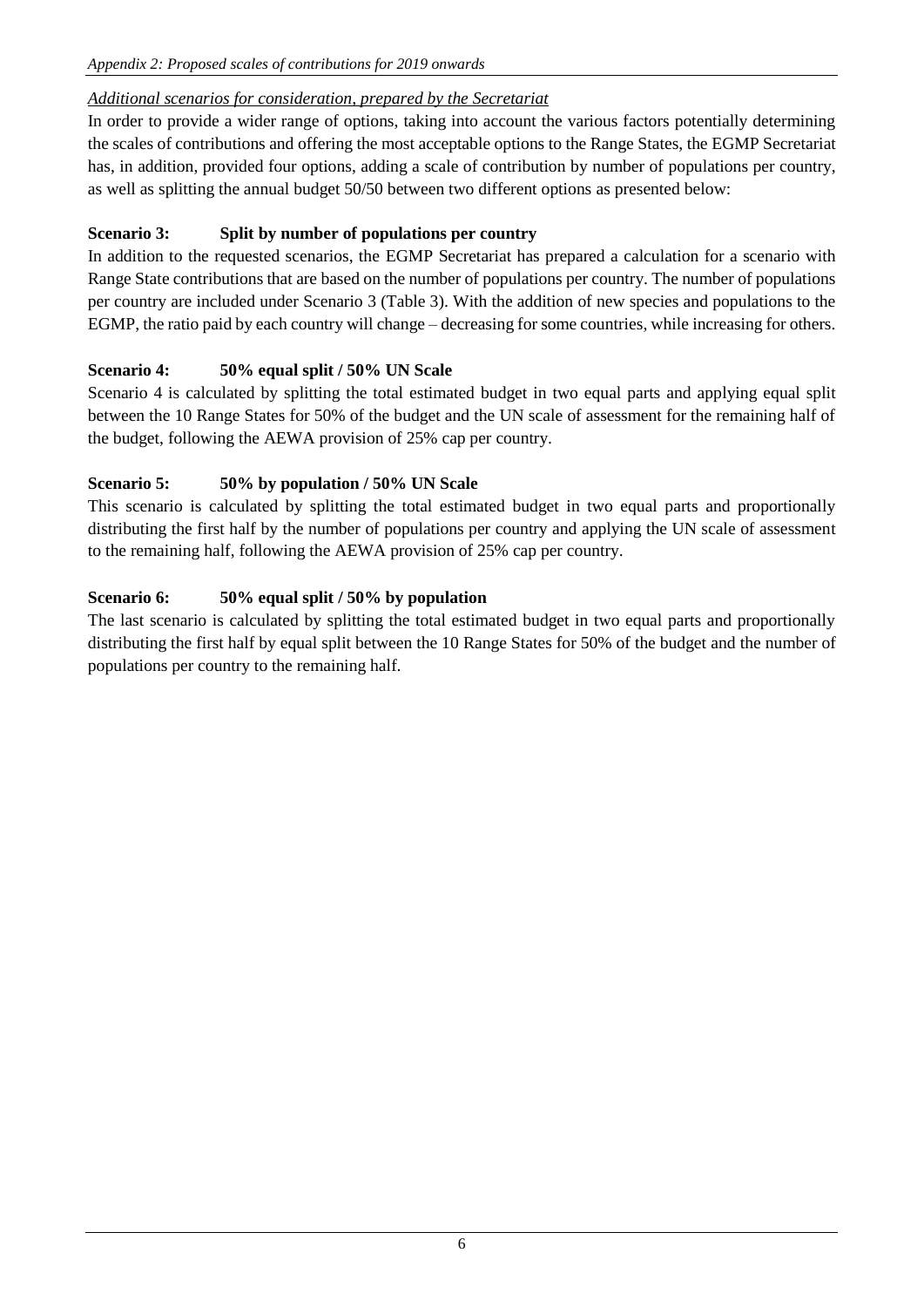# *Additional scenarios for consideration, prepared by the Secretariat*

In order to provide a wider range of options, taking into account the various factors potentially determining the scales of contributions and offering the most acceptable options to the Range States, the EGMP Secretariat has, in addition, provided four options, adding a scale of contribution by number of populations per country, as well as splitting the annual budget 50/50 between two different options as presented below:

# **Scenario 3: Split by number of populations per country**

In addition to the requested scenarios, the EGMP Secretariat has prepared a calculation for a scenario with Range State contributions that are based on the number of populations per country. The number of populations per country are included under Scenario 3 (Table 3). With the addition of new species and populations to the EGMP, the ratio paid by each country will change – decreasing for some countries, while increasing for others.

# **Scenario 4: 50% equal split / 50% UN Scale**

Scenario 4 is calculated by splitting the total estimated budget in two equal parts and applying equal split between the 10 Range States for 50% of the budget and the UN scale of assessment for the remaining half of the budget, following the AEWA provision of 25% cap per country.

## **Scenario 5: 50% by population / 50% UN Scale**

This scenario is calculated by splitting the total estimated budget in two equal parts and proportionally distributing the first half by the number of populations per country and applying the UN scale of assessment to the remaining half, following the AEWA provision of 25% cap per country.

# **Scenario 6: 50% equal split / 50% by population**

The last scenario is calculated by splitting the total estimated budget in two equal parts and proportionally distributing the first half by equal split between the 10 Range States for 50% of the budget and the number of populations per country to the remaining half.